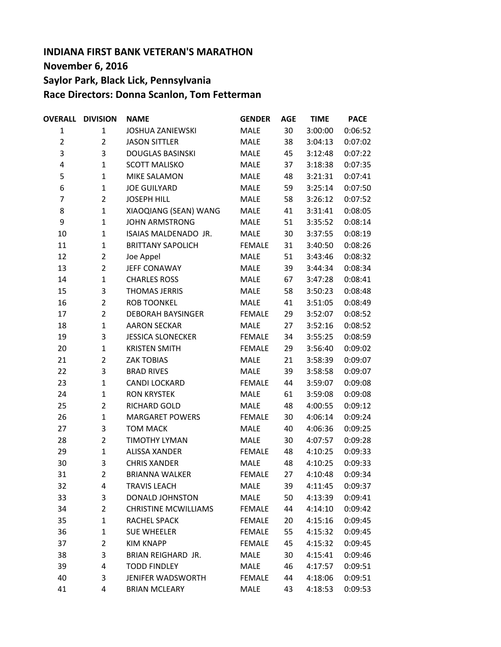## **INDIANA FIRST BANK VETERAN'S MARATHON November 6, 2016 Saylor Park, Black Lick, Pennsylvania Race Directors: Donna Scanlon, Tom Fetterman**

| <b>OVERALL</b> | <b>DIVISION</b> | <b>NAME</b>                 | <b>GENDER</b> | <b>AGE</b> | <b>TIME</b> | <b>PACE</b> |
|----------------|-----------------|-----------------------------|---------------|------------|-------------|-------------|
| $\mathbf 1$    | $\mathbf{1}$    | <b>JOSHUA ZANIEWSKI</b>     | <b>MALE</b>   | 30         | 3:00:00     | 0:06:52     |
| $\overline{2}$ | $\overline{2}$  | <b>JASON SITTLER</b>        | <b>MALE</b>   | 38         | 3:04:13     | 0:07:02     |
| 3              | 3               | <b>DOUGLAS BASINSKI</b>     | MALE          | 45         | 3:12:48     | 0:07:22     |
| 4              | $\mathbf{1}$    | <b>SCOTT MALISKO</b>        | MALE          | 37         | 3:18:38     | 0:07:35     |
| 5              | $\mathbf{1}$    | MIKE SALAMON                | MALE          | 48         | 3:21:31     | 0:07:41     |
| 6              | $\mathbf{1}$    | <b>JOE GUILYARD</b>         | MALE          | 59         | 3:25:14     | 0:07:50     |
| 7              | $\overline{2}$  | <b>JOSEPH HILL</b>          | MALE          | 58         | 3:26:12     | 0:07:52     |
| 8              | $\mathbf{1}$    | XIAOQIANG (SEAN) WANG       | MALE          | 41         | 3:31:41     | 0:08:05     |
| 9              | $\mathbf{1}$    | <b>JOHN ARMSTRONG</b>       | MALE          | 51         | 3:35:52     | 0:08:14     |
| 10             | $\mathbf{1}$    | ISAIAS MALDENADO JR.        | MALE          | 30         | 3:37:55     | 0:08:19     |
| 11             | $\mathbf{1}$    | <b>BRITTANY SAPOLICH</b>    | <b>FEMALE</b> | 31         | 3:40:50     | 0:08:26     |
| 12             | $\overline{2}$  | Joe Appel                   | <b>MALE</b>   | 51         | 3:43:46     | 0:08:32     |
| 13             | $\overline{2}$  | JEFF CONAWAY                | <b>MALE</b>   | 39         | 3:44:34     | 0:08:34     |
| 14             | $\mathbf{1}$    | <b>CHARLES ROSS</b>         | <b>MALE</b>   | 67         | 3:47:28     | 0:08:41     |
| 15             | 3               | <b>THOMAS JERRIS</b>        | MALE          | 58         | 3:50:23     | 0:08:48     |
| 16             | $\overline{2}$  | <b>ROB TOONKEL</b>          | <b>MALE</b>   | 41         | 3:51:05     | 0:08:49     |
| 17             | $\overline{2}$  | <b>DEBORAH BAYSINGER</b>    | <b>FEMALE</b> | 29         | 3:52:07     | 0:08:52     |
| 18             | $\mathbf{1}$    | <b>AARON SECKAR</b>         | <b>MALE</b>   | 27         | 3:52:16     | 0:08:52     |
| 19             | 3               | <b>JESSICA SLONECKER</b>    | <b>FEMALE</b> | 34         | 3:55:25     | 0:08:59     |
| 20             | $\mathbf{1}$    | <b>KRISTEN SMITH</b>        | <b>FEMALE</b> | 29         | 3:56:40     | 0:09:02     |
| 21             | $\overline{2}$  | <b>ZAK TOBIAS</b>           | <b>MALE</b>   | 21         | 3:58:39     | 0:09:07     |
| 22             | 3               | <b>BRAD RIVES</b>           | <b>MALE</b>   | 39         | 3:58:58     | 0:09:07     |
| 23             | $\mathbf{1}$    | CANDI LOCKARD               | <b>FEMALE</b> | 44         | 3:59:07     | 0:09:08     |
| 24             | $\mathbf{1}$    | <b>RON KRYSTEK</b>          | MALE          | 61         | 3:59:08     | 0:09:08     |
| 25             | $\overline{2}$  | RICHARD GOLD                | MALE          | 48         | 4:00:55     | 0:09:12     |
| 26             | $\mathbf{1}$    | <b>MARGARET POWERS</b>      | <b>FEMALE</b> | 30         | 4:06:14     | 0:09:24     |
| 27             | 3               | <b>TOM MACK</b>             | <b>MALE</b>   | 40         | 4:06:36     | 0:09:25     |
| 28             | $\overline{2}$  | <b>TIMOTHY LYMAN</b>        | <b>MALE</b>   | 30         | 4:07:57     | 0:09:28     |
| 29             | $\mathbf{1}$    | <b>ALISSA XANDER</b>        | <b>FEMALE</b> | 48         | 4:10:25     | 0:09:33     |
| 30             | 3               | <b>CHRIS XANDER</b>         | MALE          | 48         | 4:10:25     | 0:09:33     |
| 31             | 2               | <b>BRIANNA WALKER</b>       | <b>FEMALE</b> | 27         | 4:10:48     | 0:09:34     |
| 32             | 4               | <b>TRAVIS LEACH</b>         | MALE          | 39         | 4:11:45     | 0:09:37     |
| 33             | 3               | DONALD JOHNSTON             | MALE          | 50         | 4:13:39     | 0:09:41     |
| 34             | $\overline{2}$  | <b>CHRISTINE MCWILLIAMS</b> | <b>FEMALE</b> | 44         | 4:14:10     | 0:09:42     |
| 35             | $\mathbf{1}$    | RACHEL SPACK                | <b>FEMALE</b> | 20         | 4:15:16     | 0:09:45     |
| 36             | $\mathbf{1}$    | <b>SUE WHEELER</b>          | <b>FEMALE</b> | 55         | 4:15:32     | 0:09:45     |
| 37             | $\overline{2}$  | <b>KIM KNAPP</b>            | <b>FEMALE</b> | 45         | 4:15:32     | 0:09:45     |
| 38             | 3               | BRIAN REIGHARD JR.          | <b>MALE</b>   | 30         | 4:15:41     | 0:09:46     |
| 39             | 4               | <b>TODD FINDLEY</b>         | MALE          | 46         | 4:17:57     | 0:09:51     |
| 40             | 3               | JENIFER WADSWORTH           | <b>FEMALE</b> | 44         | 4:18:06     | 0:09:51     |
| 41             | 4               | <b>BRIAN MCLEARY</b>        | <b>MALE</b>   | 43         | 4:18:53     | 0:09:53     |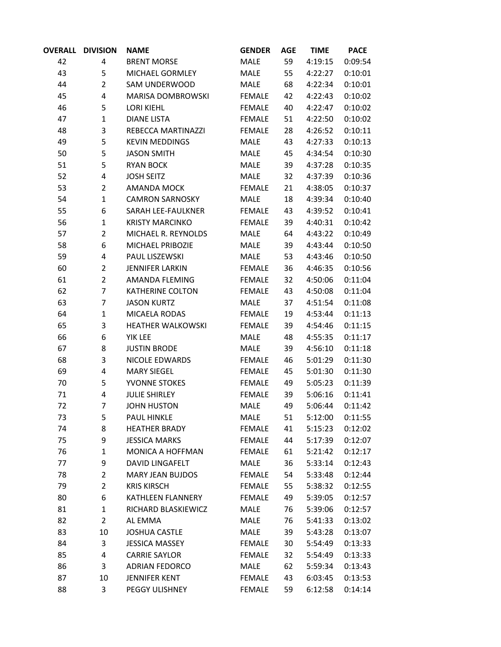| <b>OVERALL</b> | <b>DIVISION</b> | <b>NAME</b>              | <b>GENDER</b> | <b>AGE</b> | <b>TIME</b> | <b>PACE</b> |
|----------------|-----------------|--------------------------|---------------|------------|-------------|-------------|
| 42             | 4               | <b>BRENT MORSE</b>       | MALE          | 59         | 4:19:15     | 0:09:54     |
| 43             | 5               | MICHAEL GORMLEY          | <b>MALE</b>   | 55         | 4:22:27     | 0:10:01     |
| 44             | $\overline{2}$  | SAM UNDERWOOD            | MALE          | 68         | 4:22:34     | 0:10:01     |
| 45             | 4               | MARISA DOMBROWSKI        | <b>FEMALE</b> | 42         | 4:22:43     | 0:10:02     |
| 46             | 5               | <b>LORI KIEHL</b>        | <b>FEMALE</b> | 40         | 4:22:47     | 0:10:02     |
| 47             | $\mathbf{1}$    | <b>DIANE LISTA</b>       | <b>FEMALE</b> | 51         | 4:22:50     | 0:10:02     |
| 48             | 3               | REBECCA MARTINAZZI       | <b>FEMALE</b> | 28         | 4:26:52     | 0:10:11     |
| 49             | 5               | <b>KEVIN MEDDINGS</b>    | <b>MALE</b>   | 43         | 4:27:33     | 0:10:13     |
| 50             | 5               | <b>JASON SMITH</b>       | MALE          | 45         | 4:34:54     | 0:10:30     |
| 51             | 5               | <b>RYAN BOCK</b>         | MALE          | 39         | 4:37:28     | 0:10:35     |
| 52             | 4               | <b>JOSH SEITZ</b>        | MALE          | 32         | 4:37:39     | 0:10:36     |
| 53             | $\overline{2}$  | AMANDA MOCK              | <b>FEMALE</b> | 21         | 4:38:05     | 0:10:37     |
| 54             | $\mathbf{1}$    | <b>CAMRON SARNOSKY</b>   | <b>MALE</b>   | 18         | 4:39:34     | 0:10:40     |
| 55             | 6               | SARAH LEE-FAULKNER       | <b>FEMALE</b> | 43         | 4:39:52     | 0:10:41     |
| 56             | $\mathbf{1}$    | <b>KRISTY MARCINKO</b>   | <b>FEMALE</b> | 39         | 4:40:31     | 0:10:42     |
| 57             | $\overline{2}$  | MICHAEL R. REYNOLDS      | <b>MALE</b>   | 64         | 4:43:22     | 0:10:49     |
| 58             | 6               | MICHAEL PRIBOZIE         | MALE          | 39         | 4:43:44     | 0:10:50     |
| 59             | 4               | PAUL LISZEWSKI           | MALE          | 53         | 4:43:46     | 0:10:50     |
| 60             | $\overline{2}$  | <b>JENNIFER LARKIN</b>   | <b>FEMALE</b> | 36         | 4:46:35     | 0:10:56     |
| 61             | $\overline{2}$  | AMANDA FLEMING           | <b>FEMALE</b> | 32         | 4:50:06     | 0:11:04     |
| 62             | $\overline{7}$  | <b>KATHERINE COLTON</b>  | <b>FEMALE</b> | 43         | 4:50:08     | 0:11:04     |
| 63             | 7               | <b>JASON KURTZ</b>       | <b>MALE</b>   | 37         | 4:51:54     | 0:11:08     |
| 64             | $\mathbf{1}$    | MICAELA RODAS            | <b>FEMALE</b> | 19         | 4:53:44     | 0:11:13     |
| 65             | 3               | <b>HEATHER WALKOWSKI</b> | <b>FEMALE</b> | 39         | 4:54:46     | 0:11:15     |
| 66             | 6               | YIK LEE                  | MALE          | 48         | 4:55:35     | 0:11:17     |
| 67             | 8               | <b>JUSTIN BRODE</b>      | MALE          | 39         | 4:56:10     | 0:11:18     |
| 68             | 3               | NICOLE EDWARDS           | <b>FEMALE</b> | 46         | 5:01:29     | 0:11:30     |
| 69             | 4               | <b>MARY SIEGEL</b>       | <b>FEMALE</b> | 45         | 5:01:30     | 0:11:30     |
| 70             | 5               | YVONNE STOKES            | <b>FEMALE</b> | 49         | 5:05:23     | 0:11:39     |
| 71             | 4               | <b>JULIE SHIRLEY</b>     | <b>FEMALE</b> | 39         | 5:06:16     | 0:11:41     |
| 72             | 7               | <b>JOHN HUSTON</b>       | MALE          | 49         | 5:06:44     | 0:11:42     |
| 73             | 5               | <b>PAUL HINKLE</b>       | <b>MALE</b>   | 51         | 5:12:00     | 0:11:55     |
| 74             | 8               | <b>HEATHER BRADY</b>     | <b>FEMALE</b> | 41         | 5:15:23     | 0:12:02     |
| 75             | 9               | <b>JESSICA MARKS</b>     | <b>FEMALE</b> | 44         | 5:17:39     | 0:12:07     |
| 76             | 1               | MONICA A HOFFMAN         | <b>FEMALE</b> | 61         | 5:21:42     | 0:12:17     |
| 77             | 9               | DAVID LINGAFELT          | <b>MALE</b>   | 36         | 5:33:14     | 0:12:43     |
| 78             | $\overline{2}$  | <b>MARY JEAN BUJDOS</b>  | <b>FEMALE</b> | 54         | 5:33:48     | 0:12:44     |
| 79             | $\overline{2}$  | <b>KRIS KIRSCH</b>       | <b>FEMALE</b> | 55         | 5:38:32     | 0:12:55     |
| 80             | 6               | KATHLEEN FLANNERY        | <b>FEMALE</b> | 49         | 5:39:05     | 0:12:57     |
| 81             | $\mathbf{1}$    | RICHARD BLASKIEWICZ      | MALE          | 76         | 5:39:06     | 0:12:57     |
| 82             | $\overline{2}$  | AL EMMA                  | MALE          | 76         | 5:41:33     | 0:13:02     |
| 83             | 10              | <b>JOSHUA CASTLE</b>     | MALE          | 39         | 5:43:28     | 0:13:07     |
| 84             | 3               | <b>JESSICA MASSEY</b>    | <b>FEMALE</b> | 30         | 5:54:49     | 0:13:33     |
| 85             | 4               | <b>CARRIE SAYLOR</b>     | <b>FEMALE</b> | 32         | 5:54:49     | 0:13:33     |
| 86             | 3               | <b>ADRIAN FEDORCO</b>    | MALE          | 62         | 5:59:34     | 0:13:43     |
| 87             | 10              | <b>JENNIFER KENT</b>     | <b>FEMALE</b> | 43         | 6:03:45     | 0:13:53     |
| 88             | 3               | PEGGY ULISHNEY           | <b>FEMALE</b> | 59         | 6:12:58     | 0:14:14     |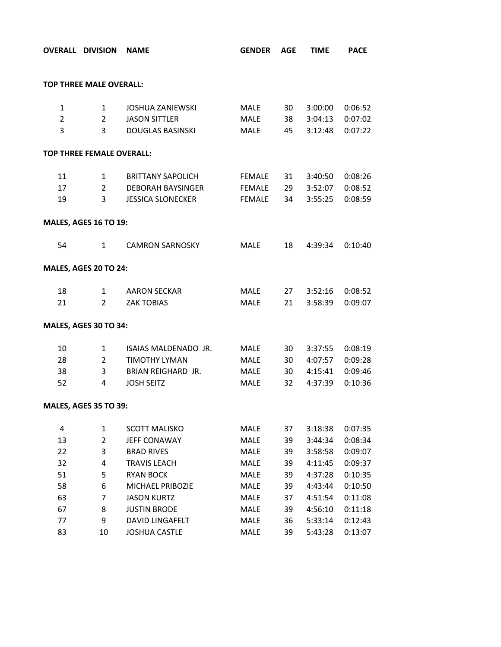| <b>TOP THREE MALE OVERALL:</b><br>3:00:00<br>$\mathbf{1}$<br><b>JOSHUA ZANIEWSKI</b><br>MALE<br>30<br>0:06:52<br>$\mathbf{1}$<br>$\overline{2}$<br>$\overline{2}$<br><b>JASON SITTLER</b><br>38<br>3:04:13<br>0:07:02<br><b>MALE</b><br>3<br>3<br><b>DOUGLAS BASINSKI</b><br><b>MALE</b><br>45<br>3:12:48<br><b>TOP THREE FEMALE OVERALL:</b><br>11<br>$\mathbf{1}$<br><b>BRITTANY SAPOLICH</b><br>FEMALE<br>31<br>3:40:50<br>17<br>$\overline{2}$<br>29<br><b>DEBORAH BAYSINGER</b><br>FEMALE<br>3:52:07<br>19<br>3<br><b>JESSICA SLONECKER</b><br>FEMALE<br>34<br>3:55:25<br><b>MALES, AGES 16 TO 19:</b><br>54<br><b>CAMRON SARNOSKY</b><br>MALE<br>18<br>$\mathbf{1}$<br>4:39:34<br><b>MALES, AGES 20 TO 24:</b><br>18<br>0:08:52<br>$1 \quad$<br>AARON SECKAR<br>MALE<br>27<br>3:52:16<br>21<br>$2^{\sim}$<br><b>ZAK TOBIAS</b><br><b>MALE</b><br>21<br>3:58:39<br>MALES, AGES 30 TO 34:<br>10<br>ISAIAS MALDENADO JR.<br>30<br>0:08:19<br>$\mathbf{1}$<br>MALE<br>3:37:55<br>$2^{\circ}$<br>28<br><b>TIMOTHY LYMAN</b><br>30 <sub>o</sub><br>4:07:57<br>0:09:28<br>MALE<br>38<br>3<br>BRIAN REIGHARD JR.<br><b>MALE</b><br>30 <sub>o</sub><br>0:09:46<br>4:15:41<br>52<br><b>JOSH SEITZ</b><br>MALE<br>32<br>4<br>4:37:39<br><b>MALES, AGES 35 TO 39:</b><br>4<br>$\mathbf{1}$<br><b>SCOTT MALISKO</b><br>MALE<br>37<br>3:18:38<br>0:07:35<br>13<br>$\overline{2}$<br>JEFF CONAWAY<br><b>MALE</b><br>39<br>0:08:34<br>3:44:34<br>3<br>22<br><b>BRAD RIVES</b><br>39<br>0:09:07<br>MALE<br>3:58:58<br>32<br>4<br><b>TRAVIS LEACH</b><br>MALE<br>39<br>4:11:45<br>0:09:37<br>51<br>5<br><b>RYAN BOCK</b><br>39<br>0:10:35<br><b>MALE</b><br>4:37:28<br>58<br>6<br>39<br>0:10:50<br>MICHAEL PRIBOZIE<br>MALE<br>4:43:44<br><b>JASON KURTZ</b><br>0:11:08<br>63<br>7<br><b>MALE</b><br>37<br>4:51:54<br>67<br>8<br><b>JUSTIN BRODE</b><br>39<br>4:56:10<br>0:11:18<br><b>MALE</b><br>77<br>9<br>DAVID LINGAFELT<br>36<br>0:12:43<br>MALE<br>5:33:14 | <b>OVERALL DIVISION NAME</b> | <b>GENDER AGE</b> | <b>TIME</b> | <b>PACE</b> |
|-------------------------------------------------------------------------------------------------------------------------------------------------------------------------------------------------------------------------------------------------------------------------------------------------------------------------------------------------------------------------------------------------------------------------------------------------------------------------------------------------------------------------------------------------------------------------------------------------------------------------------------------------------------------------------------------------------------------------------------------------------------------------------------------------------------------------------------------------------------------------------------------------------------------------------------------------------------------------------------------------------------------------------------------------------------------------------------------------------------------------------------------------------------------------------------------------------------------------------------------------------------------------------------------------------------------------------------------------------------------------------------------------------------------------------------------------------------------------------------------------------------------------------------------------------------------------------------------------------------------------------------------------------------------------------------------------------------------------------------------------------------------------------------------------------------------------------------------------------------------------------------------------------------------------------------------------------|------------------------------|-------------------|-------------|-------------|
|                                                                                                                                                                                                                                                                                                                                                                                                                                                                                                                                                                                                                                                                                                                                                                                                                                                                                                                                                                                                                                                                                                                                                                                                                                                                                                                                                                                                                                                                                                                                                                                                                                                                                                                                                                                                                                                                                                                                                       |                              |                   |             |             |
|                                                                                                                                                                                                                                                                                                                                                                                                                                                                                                                                                                                                                                                                                                                                                                                                                                                                                                                                                                                                                                                                                                                                                                                                                                                                                                                                                                                                                                                                                                                                                                                                                                                                                                                                                                                                                                                                                                                                                       |                              |                   |             |             |
|                                                                                                                                                                                                                                                                                                                                                                                                                                                                                                                                                                                                                                                                                                                                                                                                                                                                                                                                                                                                                                                                                                                                                                                                                                                                                                                                                                                                                                                                                                                                                                                                                                                                                                                                                                                                                                                                                                                                                       |                              |                   |             |             |
|                                                                                                                                                                                                                                                                                                                                                                                                                                                                                                                                                                                                                                                                                                                                                                                                                                                                                                                                                                                                                                                                                                                                                                                                                                                                                                                                                                                                                                                                                                                                                                                                                                                                                                                                                                                                                                                                                                                                                       |                              |                   |             | 0:07:22     |
|                                                                                                                                                                                                                                                                                                                                                                                                                                                                                                                                                                                                                                                                                                                                                                                                                                                                                                                                                                                                                                                                                                                                                                                                                                                                                                                                                                                                                                                                                                                                                                                                                                                                                                                                                                                                                                                                                                                                                       |                              |                   |             |             |
|                                                                                                                                                                                                                                                                                                                                                                                                                                                                                                                                                                                                                                                                                                                                                                                                                                                                                                                                                                                                                                                                                                                                                                                                                                                                                                                                                                                                                                                                                                                                                                                                                                                                                                                                                                                                                                                                                                                                                       |                              |                   |             |             |
|                                                                                                                                                                                                                                                                                                                                                                                                                                                                                                                                                                                                                                                                                                                                                                                                                                                                                                                                                                                                                                                                                                                                                                                                                                                                                                                                                                                                                                                                                                                                                                                                                                                                                                                                                                                                                                                                                                                                                       |                              |                   |             | 0:08:26     |
|                                                                                                                                                                                                                                                                                                                                                                                                                                                                                                                                                                                                                                                                                                                                                                                                                                                                                                                                                                                                                                                                                                                                                                                                                                                                                                                                                                                                                                                                                                                                                                                                                                                                                                                                                                                                                                                                                                                                                       |                              |                   |             | 0:08:52     |
|                                                                                                                                                                                                                                                                                                                                                                                                                                                                                                                                                                                                                                                                                                                                                                                                                                                                                                                                                                                                                                                                                                                                                                                                                                                                                                                                                                                                                                                                                                                                                                                                                                                                                                                                                                                                                                                                                                                                                       |                              |                   |             | 0:08:59     |
|                                                                                                                                                                                                                                                                                                                                                                                                                                                                                                                                                                                                                                                                                                                                                                                                                                                                                                                                                                                                                                                                                                                                                                                                                                                                                                                                                                                                                                                                                                                                                                                                                                                                                                                                                                                                                                                                                                                                                       |                              |                   |             |             |
|                                                                                                                                                                                                                                                                                                                                                                                                                                                                                                                                                                                                                                                                                                                                                                                                                                                                                                                                                                                                                                                                                                                                                                                                                                                                                                                                                                                                                                                                                                                                                                                                                                                                                                                                                                                                                                                                                                                                                       |                              |                   |             | 0:10:40     |
|                                                                                                                                                                                                                                                                                                                                                                                                                                                                                                                                                                                                                                                                                                                                                                                                                                                                                                                                                                                                                                                                                                                                                                                                                                                                                                                                                                                                                                                                                                                                                                                                                                                                                                                                                                                                                                                                                                                                                       |                              |                   |             |             |
|                                                                                                                                                                                                                                                                                                                                                                                                                                                                                                                                                                                                                                                                                                                                                                                                                                                                                                                                                                                                                                                                                                                                                                                                                                                                                                                                                                                                                                                                                                                                                                                                                                                                                                                                                                                                                                                                                                                                                       |                              |                   |             |             |
|                                                                                                                                                                                                                                                                                                                                                                                                                                                                                                                                                                                                                                                                                                                                                                                                                                                                                                                                                                                                                                                                                                                                                                                                                                                                                                                                                                                                                                                                                                                                                                                                                                                                                                                                                                                                                                                                                                                                                       |                              |                   |             | 0:09:07     |
|                                                                                                                                                                                                                                                                                                                                                                                                                                                                                                                                                                                                                                                                                                                                                                                                                                                                                                                                                                                                                                                                                                                                                                                                                                                                                                                                                                                                                                                                                                                                                                                                                                                                                                                                                                                                                                                                                                                                                       |                              |                   |             |             |
|                                                                                                                                                                                                                                                                                                                                                                                                                                                                                                                                                                                                                                                                                                                                                                                                                                                                                                                                                                                                                                                                                                                                                                                                                                                                                                                                                                                                                                                                                                                                                                                                                                                                                                                                                                                                                                                                                                                                                       |                              |                   |             |             |
|                                                                                                                                                                                                                                                                                                                                                                                                                                                                                                                                                                                                                                                                                                                                                                                                                                                                                                                                                                                                                                                                                                                                                                                                                                                                                                                                                                                                                                                                                                                                                                                                                                                                                                                                                                                                                                                                                                                                                       |                              |                   |             |             |
|                                                                                                                                                                                                                                                                                                                                                                                                                                                                                                                                                                                                                                                                                                                                                                                                                                                                                                                                                                                                                                                                                                                                                                                                                                                                                                                                                                                                                                                                                                                                                                                                                                                                                                                                                                                                                                                                                                                                                       |                              |                   |             |             |
|                                                                                                                                                                                                                                                                                                                                                                                                                                                                                                                                                                                                                                                                                                                                                                                                                                                                                                                                                                                                                                                                                                                                                                                                                                                                                                                                                                                                                                                                                                                                                                                                                                                                                                                                                                                                                                                                                                                                                       |                              |                   |             | 0:10:36     |
|                                                                                                                                                                                                                                                                                                                                                                                                                                                                                                                                                                                                                                                                                                                                                                                                                                                                                                                                                                                                                                                                                                                                                                                                                                                                                                                                                                                                                                                                                                                                                                                                                                                                                                                                                                                                                                                                                                                                                       |                              |                   |             |             |
|                                                                                                                                                                                                                                                                                                                                                                                                                                                                                                                                                                                                                                                                                                                                                                                                                                                                                                                                                                                                                                                                                                                                                                                                                                                                                                                                                                                                                                                                                                                                                                                                                                                                                                                                                                                                                                                                                                                                                       |                              |                   |             |             |
|                                                                                                                                                                                                                                                                                                                                                                                                                                                                                                                                                                                                                                                                                                                                                                                                                                                                                                                                                                                                                                                                                                                                                                                                                                                                                                                                                                                                                                                                                                                                                                                                                                                                                                                                                                                                                                                                                                                                                       |                              |                   |             |             |
|                                                                                                                                                                                                                                                                                                                                                                                                                                                                                                                                                                                                                                                                                                                                                                                                                                                                                                                                                                                                                                                                                                                                                                                                                                                                                                                                                                                                                                                                                                                                                                                                                                                                                                                                                                                                                                                                                                                                                       |                              |                   |             |             |
|                                                                                                                                                                                                                                                                                                                                                                                                                                                                                                                                                                                                                                                                                                                                                                                                                                                                                                                                                                                                                                                                                                                                                                                                                                                                                                                                                                                                                                                                                                                                                                                                                                                                                                                                                                                                                                                                                                                                                       |                              |                   |             |             |
|                                                                                                                                                                                                                                                                                                                                                                                                                                                                                                                                                                                                                                                                                                                                                                                                                                                                                                                                                                                                                                                                                                                                                                                                                                                                                                                                                                                                                                                                                                                                                                                                                                                                                                                                                                                                                                                                                                                                                       |                              |                   |             |             |
|                                                                                                                                                                                                                                                                                                                                                                                                                                                                                                                                                                                                                                                                                                                                                                                                                                                                                                                                                                                                                                                                                                                                                                                                                                                                                                                                                                                                                                                                                                                                                                                                                                                                                                                                                                                                                                                                                                                                                       |                              |                   |             |             |
|                                                                                                                                                                                                                                                                                                                                                                                                                                                                                                                                                                                                                                                                                                                                                                                                                                                                                                                                                                                                                                                                                                                                                                                                                                                                                                                                                                                                                                                                                                                                                                                                                                                                                                                                                                                                                                                                                                                                                       |                              |                   |             |             |
|                                                                                                                                                                                                                                                                                                                                                                                                                                                                                                                                                                                                                                                                                                                                                                                                                                                                                                                                                                                                                                                                                                                                                                                                                                                                                                                                                                                                                                                                                                                                                                                                                                                                                                                                                                                                                                                                                                                                                       |                              |                   |             |             |
|                                                                                                                                                                                                                                                                                                                                                                                                                                                                                                                                                                                                                                                                                                                                                                                                                                                                                                                                                                                                                                                                                                                                                                                                                                                                                                                                                                                                                                                                                                                                                                                                                                                                                                                                                                                                                                                                                                                                                       |                              |                   |             |             |
| 83<br><b>JOSHUA CASTLE</b><br>39<br>10<br>MALE<br>5:43:28                                                                                                                                                                                                                                                                                                                                                                                                                                                                                                                                                                                                                                                                                                                                                                                                                                                                                                                                                                                                                                                                                                                                                                                                                                                                                                                                                                                                                                                                                                                                                                                                                                                                                                                                                                                                                                                                                             |                              |                   |             | 0:13:07     |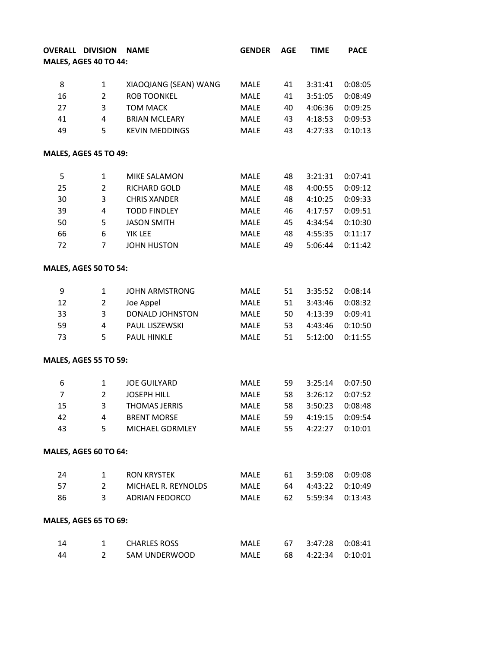| <b>OVERALL DIVISION</b>      |                | <b>NAME</b>           | <b>GENDER</b> | <b>AGE</b> | <b>TIME</b> | <b>PACE</b> |
|------------------------------|----------------|-----------------------|---------------|------------|-------------|-------------|
| MALES, AGES 40 TO 44:        |                |                       |               |            |             |             |
| 8                            | $\mathbf{1}$   | XIAOQIANG (SEAN) WANG | <b>MALE</b>   | 41         | 3:31:41     | 0:08:05     |
| 16                           | $\overline{2}$ | <b>ROB TOONKEL</b>    | <b>MALE</b>   | 41         | 3:51:05     | 0:08:49     |
| 27                           | 3              | <b>TOM MACK</b>       | <b>MALE</b>   | 40         | 4:06:36     | 0:09:25     |
| 41                           | 4              | <b>BRIAN MCLEARY</b>  | <b>MALE</b>   | 43         | 4:18:53     | 0:09:53     |
| 49                           | 5              | <b>KEVIN MEDDINGS</b> | <b>MALE</b>   | 43         | 4:27:33     | 0:10:13     |
|                              |                |                       |               |            |             |             |
| MALES, AGES 45 TO 49:        |                |                       |               |            |             |             |
| 5                            | 1              | MIKE SALAMON          | <b>MALE</b>   | 48         | 3:21:31     | 0:07:41     |
| 25                           | $\overline{2}$ | RICHARD GOLD          | <b>MALE</b>   | 48         | 4:00:55     | 0:09:12     |
| 30                           | 3              | <b>CHRIS XANDER</b>   | <b>MALE</b>   | 48         | 4:10:25     | 0:09:33     |
| 39                           | 4              | <b>TODD FINDLEY</b>   | MALE          | 46         | 4:17:57     | 0:09:51     |
| 50                           | 5              | <b>JASON SMITH</b>    | <b>MALE</b>   | 45         | 4:34:54     | 0:10:30     |
| 66                           | 6              | YIK LEE               | <b>MALE</b>   | 48         | 4:55:35     | 0:11:17     |
| 72                           | 7              | <b>JOHN HUSTON</b>    | <b>MALE</b>   | 49         | 5:06:44     | 0:11:42     |
| <b>MALES, AGES 50 TO 54:</b> |                |                       |               |            |             |             |
| 9                            | $\mathbf{1}$   | <b>JOHN ARMSTRONG</b> | MALE          | 51         | 3:35:52     | 0:08:14     |
| 12                           | $\overline{2}$ | Joe Appel             | <b>MALE</b>   | 51         | 3:43:46     | 0:08:32     |
| 33                           | 3              | DONALD JOHNSTON       | <b>MALE</b>   | 50         | 4:13:39     | 0:09:41     |
| 59                           | 4              | PAUL LISZEWSKI        | <b>MALE</b>   | 53         | 4:43:46     | 0:10:50     |
| 73                           | 5              | <b>PAUL HINKLE</b>    | MALE          | 51         | 5:12:00     | 0:11:55     |
| <b>MALES, AGES 55 TO 59:</b> |                |                       |               |            |             |             |
| 6                            | 1              | <b>JOE GUILYARD</b>   | <b>MALE</b>   | 59         | 3:25:14     | 0:07:50     |
| $\overline{7}$               | $\overline{2}$ | <b>JOSEPH HILL</b>    | MALE          | 58         | 3:26:12     | 0:07:52     |
| 15                           | 3              | THOMAS JERRIS         | <b>MALE</b>   | 58         | 3:50:23     | 0:08:48     |
| 42                           | 4              | <b>BRENT MORSE</b>    | MALE          | 59         | 4:19:15     | 0:09:54     |
| 43                           | 5              | MICHAEL GORMLEY       | MALE          | 55         | 4:22:27     | 0:10:01     |
| MALES, AGES 60 TO 64:        |                |                       |               |            |             |             |
| 24                           | $\mathbf{1}$   | <b>RON KRYSTEK</b>    | MALE          | 61         | 3:59:08     | 0:09:08     |
| 57                           | $\overline{2}$ | MICHAEL R. REYNOLDS   | MALE          | 64         | 4:43:22     | 0:10:49     |
| 86                           | 3              | <b>ADRIAN FEDORCO</b> | MALE          | 62         | 5:59:34     | 0:13:43     |
| <b>MALES, AGES 65 TO 69:</b> |                |                       |               |            |             |             |
| 14                           | 1              | <b>CHARLES ROSS</b>   | MALE          | 67         | 3:47:28     | 0:08:41     |
| 44                           | $\overline{2}$ | SAM UNDERWOOD         | MALE          | 68         | 4:22:34     | 0:10:01     |
|                              |                |                       |               |            |             |             |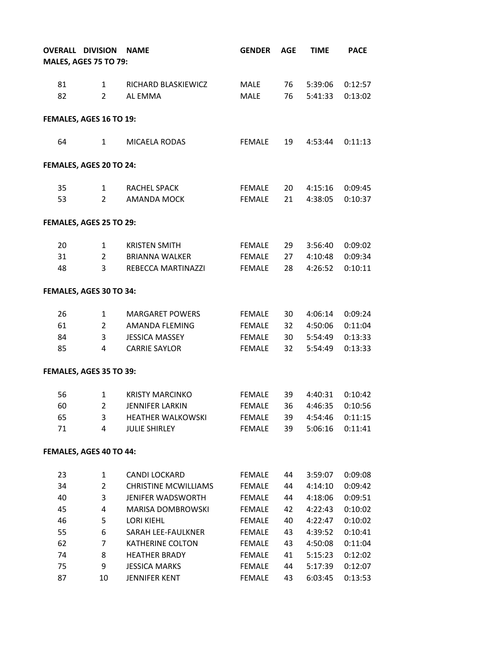|    | <b>OVERALL DIVISION</b>      | <b>NAME</b>                 | <b>GENDER</b> | <b>AGE</b>      | <b>TIME</b> | <b>PACE</b> |
|----|------------------------------|-----------------------------|---------------|-----------------|-------------|-------------|
|    | <b>MALES, AGES 75 TO 79:</b> |                             |               |                 |             |             |
|    |                              |                             |               |                 |             |             |
| 81 | $\mathbf{1}$                 | RICHARD BLASKIEWICZ         | MALE          | 76              | 5:39:06     | 0:12:57     |
| 82 | $\overline{2}$               | AL EMMA                     | MALE          | 76              | 5:41:33     | 0:13:02     |
|    | FEMALES, AGES 16 TO 19:      |                             |               |                 |             |             |
| 64 | $\mathbf{1}$                 | MICAELA RODAS               | FEMALE        | 19              | 4:53:44     | 0:11:13     |
|    | FEMALES, AGES 20 TO 24:      |                             |               |                 |             |             |
| 35 | $\mathbf{1}$                 | RACHEL SPACK                | FEMALE        | 20              | 4:15:16     | 0:09:45     |
| 53 | $\overline{2}$               | <b>AMANDA MOCK</b>          | FEMALE        | 21              | 4:38:05     | 0:10:37     |
|    | FEMALES, AGES 25 TO 29:      |                             |               |                 |             |             |
| 20 | $\mathbf{1}$                 | <b>KRISTEN SMITH</b>        | FEMALE        | 29              | 3:56:40     | 0:09:02     |
| 31 | $\overline{2}$               | <b>BRIANNA WALKER</b>       | FEMALE        | 27              | 4:10:48     | 0:09:34     |
| 48 | 3                            | REBECCA MARTINAZZI          | FEMALE        | 28              | 4:26:52     | 0:10:11     |
|    | FEMALES, AGES 30 TO 34:      |                             |               |                 |             |             |
| 26 | $\mathbf{1}$                 | <b>MARGARET POWERS</b>      | FEMALE        | 30              | 4:06:14     | 0:09:24     |
| 61 | $\overline{2}$               | AMANDA FLEMING              | FEMALE        | 32              | 4:50:06     | 0:11:04     |
| 84 | 3                            | <b>JESSICA MASSEY</b>       | FEMALE        | 30 <sub>o</sub> | 5:54:49     | 0:13:33     |
| 85 | 4                            | <b>CARRIE SAYLOR</b>        | FEMALE        | 32              | 5:54:49     | 0:13:33     |
|    | FEMALES, AGES 35 TO 39:      |                             |               |                 |             |             |
| 56 | $\mathbf{1}$                 | <b>KRISTY MARCINKO</b>      | FEMALE        | 39              | 4:40:31     | 0:10:42     |
| 60 | $\overline{2}$               | <b>JENNIFER LARKIN</b>      | FEMALE        | 36              | 4:46:35     | 0:10:56     |
| 65 | 3                            | <b>HEATHER WALKOWSKI</b>    | <b>FEMALE</b> | 39              | 4:54:46     | 0:11:15     |
| 71 | 4                            | <b>JULIE SHIRLEY</b>        | <b>FEMALE</b> | 39              | 5:06:16     | 0:11:41     |
|    | FEMALES, AGES 40 TO 44:      |                             |               |                 |             |             |
| 23 | $\mathbf{1}$                 | CANDI LOCKARD               | <b>FEMALE</b> | 44              | 3:59:07     | 0:09:08     |
| 34 | $\overline{2}$               | <b>CHRISTINE MCWILLIAMS</b> | <b>FEMALE</b> | 44              | 4:14:10     | 0:09:42     |
| 40 | 3                            | <b>JENIFER WADSWORTH</b>    | FEMALE        | 44              | 4:18:06     | 0:09:51     |
| 45 | 4                            | MARISA DOMBROWSKI           | <b>FEMALE</b> | 42              | 4:22:43     | 0:10:02     |
| 46 | 5                            | <b>LORI KIEHL</b>           | <b>FEMALE</b> | 40              | 4:22:47     | 0:10:02     |
| 55 | 6                            | SARAH LEE-FAULKNER          | <b>FEMALE</b> | 43              | 4:39:52     | 0:10:41     |
| 62 | $\overline{7}$               | <b>KATHERINE COLTON</b>     | <b>FEMALE</b> | 43              | 4:50:08     | 0:11:04     |
| 74 | 8                            | <b>HEATHER BRADY</b>        | <b>FEMALE</b> | 41              | 5:15:23     | 0:12:02     |
| 75 | 9                            | <b>JESSICA MARKS</b>        | <b>FEMALE</b> | 44              | 5:17:39     | 0:12:07     |
| 87 | 10                           | JENNIFER KENT               | <b>FEMALE</b> | 43              | 6:03:45     | 0:13:53     |